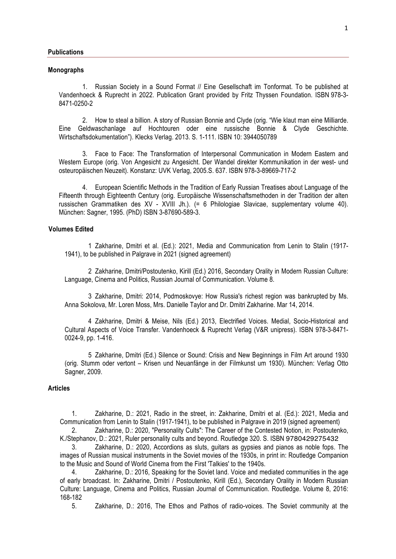#### **Monographs**

1. Russian Society in a Sound Format // Eine Gesellschaft im Tonformat. To be published at Vandenhoeck & Ruprecht in 2022. Publication Grant provided by Fritz Thyssen Foundation. ISBN 978-3- 8471-0250-2

2. How to steal a billion. A story of Russian Bonnie and Clyde (orig. "Wie klaut man eine Milliarde. Eine Geldwaschanlage auf Hochtouren oder eine russische Bonnie & Clyde Geschichte. Wirtschaftsdokumentation"). Klecks Verlag. 2013. S. 1-111. ISBN 10: 3944050789

3. Face to Face: The Transformation of Interpersonal Communication in Modern Eastern and Western Europe (orig. Von Angesicht zu Angesicht. Der Wandel direkter Kommunikation in der west- und osteuropäischen Neuzeit). Konstanz: UVK Verlag, 2005.S. 637. ISBN 978-3-89669-717-2

4. European Scientific Methods in the Tradition of Early Russian Treatises about Language of the Fifteenth through Eighteenth Century (orig. Europäische Wissenschaftsmethoden in der Tradition der alten russischen Grammatiken des XV - XVIII Jh.). (= 6 Philologiae Slavicae, supplementary volume 40). München: Sagner, 1995. (PhD) ISBN 3-87690-589-3.

#### **Volumes Edited**

1 Zakharine, Dmitri et al. (Ed.): 2021, Media and Communication from Lenin to Stalin (1917- 1941), to be published in Palgrave in 2021 (signed agreement)

2 Zakharine, Dmitri/Postoutenko, Kirill (Ed.) 2016, Secondary Orality in Modern Russian Culture: Language, Cinema and Politics, Russian Journal of Communication. Volume 8.

3 Zakharine, Dmitri: 2014, Podmoskovye: How Russia's richest region was bankrupted by Ms. Anna Sokolova, Mr. Loren Moss, Mrs. Danielle Taylor and Dr. Dmitri Zakharine. Mar 14, 2014.

4 Zakharine, Dmitri & Meise, Nils (Ed.) 2013, Electrified Voices. Medial, Socio-Historical and Cultural Aspects of Voice Transfer. Vandenhoeck & Ruprecht Verlag (V&R unipress). ISBN 978-3-8471- 0024-9, pp. 1-416.

5 Zakharine, Dmitri (Ed.) Silence or Sound: Crisis and New Beginnings in Film Art around 1930 (orig. Stumm oder vertont – Krisen und Neuanfänge in der Filmkunst um 1930). München: Verlag Otto Sagner, 2009.

# **Articles**

1. Zakharine, D.: 2021, Radio in the street, in: Zakharine, Dmitri et al. (Ed.): 2021, Media and Communication from Lenin to Stalin (1917-1941), to be published in Palgrave in 2019 (signed agreement)

2. Zakharine, D.: 2020, "Personality Cults": The Career of the Contested Notion, in: Postoutenko, K./Stephanov, D.: 2021, Ruler personality cults and beyond. Routledge 320. S. ISBN 9780429275432

3. Zakharine, D.: 2020, Accordions as sluts, guitars as gypsies and pianos as noble fops. The images of Russian musical instruments in the Soviet movies of the 1930s, in print in: Routledge Companion to the Music and Sound of World Cinema from the First 'Talkies' to the 1940s.

Zakharine, D.: 2016, Speaking for the Soviet land. Voice and mediated communities in the age of early broadcast. In: Zakharine, Dmitri / Postoutenko, Kirill (Ed.), Secondary Orality in Modern Russian Culture: Language, Cinema and Politics, Russian Journal of Communication. Routledge. Volume 8, 2016: 168-182

5. Zakharine, D.: 2016, The Ethos and Pathos of radio-voices. The Soviet community at the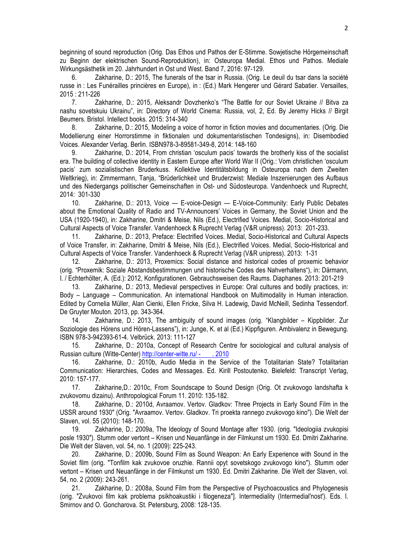beginning of sound reproduction (Orig. Das Ethos und Pathos der E-Stimme. Sowjetische Hörgemeinschaft zu Beginn der elektrischen Sound-Reproduktion), in: Osteuropa Medial. Ethos und Pathos. Mediale Wirkungsästhetik im 20. Jahrhundert in Ost und West. Band 7, 2016: 97-129.

6. Zakharine, D.: 2015, The funerals of the tsar in Russia. (Orig. Le deuil du tsar dans la société russe in : Les Funérailles princières en Europe), in : (Ed.) Mark Hengerer und Gérard Sabatier. Versailles, 2015 : 211-226

7. Zakharine, D.: 2015, Aleksandr Dovzhenko's "The Battle for our Soviet Ukraine // Bitva za nashu sovetskuiu Ukrainu", in: Directory of World Cinema: Russia, vol, 2, Ed. By Jeremy Hicks // Birgit Beumers. Bristol. Intellect books. 2015: 314-340

8. Zakharine, D.: 2015, Modeling a voice of horror in fiction movies and documentaries. (Orig. Die Modellierung einer Horrorstimme in fiktionalen und dokumentaristischen Tondesigns), in: Disembodied Voices. Alexander Verlag. Berlin. ISBN978-3-89581-349-8, 2014: 148-160

9. Zakharine, D.: 2014, From christian 'osculum pacis' towards the brotherly kiss of the socialist era. The building of collective identity in Eastern Europe after World War II (Orig.: Vom christlichen 'osculum pacis' zum sozialistischen Bruderkuss. Kollektive Identitätsbildung in Osteuropa nach dem Zweiten Weltkrieg), in: Zimmermann, Tanja, "Brüderlichkeit und Bruderzwist: Mediale Inszenierungen des Aufbaus und des Niedergangs politischer Gemeinschaften in Ost- und Südosteuropa. Vandenhoeck und Ruprecht, 2014: 301-330

10. Zakharine, D.: 2013, Voice — E-voice-Design — E-Voice-Community: Early Public Debates about the Emotional Quality of Radio and TV-Announcers' Voices in Germany, the Soviet Union and the USA (1920-1940), in: Zakharine, Dmitri & Meise, Nils (Ed.), Electrified Voices. Medial, Socio-Historical and Cultural Aspects of Voice Transfer. Vandenhoeck & Ruprecht Verlag (V&R unipress). 2013: 201-233.

11. Zakharine, D.: 2013, Preface: Electrified Voices. Medial, Socio-Historical and Cultural Aspects of Voice Transfer, in: Zakharine, Dmitri & Meise, Nils (Ed.), Electrified Voices. Medial, Socio-Historical and Cultural Aspects of Voice Transfer. Vandenhoeck & Ruprecht Verlag (V&R unipress). 2013: 1-31

12. Zakharine, D.: 2013, Proxemics: Social distance and historical codes of proxemic behavior (orig. "Proxemik: Soziale Abstandsbestimmungen und historische Codes des Nahverhaltens"), in: Därmann, I. / Echterhölter, A. (Ed.): 2012, Konfigurationen. Gebrauchsweisen des Raums. Diaphanes. 2013: 201-219

13. Zakharine, D.: 2013, Medieval perspectives in Europe: Oral cultures and bodily practices, in: Body – Language – Communication. An international Handbook on Multimodality in Human interaction. Edited by Cornelia Müller, Alan Cienki, Ellen Fricke, Silva H. Ladewig, David McNeill, Sedinha Tessendorf. De Gruyter Mouton. 2013, pp. 343-364.

14. Zakharine, D.: 2013, The ambiguity of sound images (orig. "Klangbilder – Kippbilder. Zur Soziologie des Hörens und Hören-Lassens"), in: Junge, K. et al (Ed.) Kippfiguren. Ambivalenz in Bewegung. ISBN 978-3-942393-61-4. Velbrück. 2013: 111-127

15. Zakharine, D.: 2010a, Concept of Research Centre for sociological and cultural analysis of Russian culture (Witte-Center) http://center-witte.ru/-. 2010

16. Zakharine, D.: 2010b, Audio Media in the Service of the Totalitarian State? Totalitarian Communication: Hierarchies, Codes and Messages. Ed. Kirill Postoutenko. Bielefeld: Transcript Verlag, 2010: 157-177.

17. Zakharine,D.: 2010c, From Soundscape to Sound Design (Orig. Ot zvukovogo landshafta k zvukovomu dizainu). Anthropological Forum 11. 2010: 135-182.

18. Zakharine, D.: 2010d, Avraamov. Vertov. Gladkov: Three Projects in Early Sound Film in the USSR around 1930" (Orig. "Avraamov. Vertov. Gladkov. Tri proekta rannego zvukovogo kino"). Die Welt der Slaven, vol. 55 (2010): 148-170.

19. Zakharine, D.: 2009a, The Ideology of Sound Montage after 1930. (orig. "Ideologiia zvukopisi posle 1930"). Stumm oder vertont – Krisen und Neuanfänge in der Filmkunst um 1930. Ed. Dmitri Zakharine. Die Welt der Slaven, vol. 54, no. 1 (2009): 225-243.

20. Zakharine, D.: 2009b, Sound Film as Sound Weapon: An Early Experience with Sound in the Soviet film (orig. "Tonfilm kak zvukovoe oruzhie. Rannii opyt sovetskogo zvukovogo kino"). Stumm oder vertont – Krisen und Neuanfänge in der Filmkunst um 1930. Ed. Dmitri Zakharine. Die Welt der Slaven, vol. 54, no. 2 (2009): 243-261.

21. Zakharine, D.: 2008a, Sound Film from the Perspective of Psychoacoustics and Phylogenesis (orig. "Zvukovoi film kak problema psikhoakustiki i filogeneza"]. Intermediality (Intermedial'nost'). Eds. I. Smirnov and O. Goncharova. St. Petersburg, 2008: 128-135.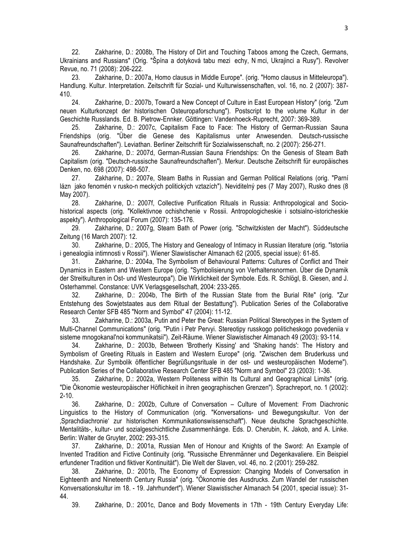22. Zakharine, D.: 2008b, The History of Dirt and Touching Taboos among the Czech, Germans, Ukrainians and Russians" (Orig. "Špína a dotyková tabu mezi echy, Nmci, Ukrajinci a Rusy"). Revolver Revue, no. 71 (2008): 206-222.

23. Zakharine, D.: 2007a, Homo clausus in Middle Europe". (orig. "Homo clausus in Mitteleuropa"). Handlung. Kultur. Interpretation. Zeitschrift für Sozial- und Kulturwissenschaften, vol. 16, no. 2 (2007): 387- 410.

24. Zakharine, D.: 2007b, Toward a New Concept of Culture in East European History" (orig. "Zum neuen Kulturkonzept der historischen Osteuropaforschung"). Postscript to the volume Kultur in der Geschichte Russlands. Ed. B. Pietrow-Ennker. Göttingen: Vandenhoeck-Ruprecht, 2007: 369-389.

25. Zakharine, D.: 2007c, Capitalism Face to Face: The History of German-Russian Sauna Friendships (orig. "Über die Genese des Kapitalismus unter Anwesenden. Deutsch-russische Saunafreundschaften"). Leviathan. Berliner Zeitschrift für Sozialwissenschaft, no. 2 (2007): 256-271.

26. Zakharine, D.: 2007d, German-Russian Sauna Friendships: On the Genesis of Steam Bath Capitalism (orig. "Deutsch-russische Saunafreundschaften"). Merkur. Deutsche Zeitschrift für europäisches Denken, no. 698 (2007): 498-507.

27. Zakharine, D.: 2007e, Steam Baths in Russian and German Political Relations (orig. "Parní lázn jako fenomén v rusko-n meckých politických vztazích"). Neviditelný pes (7 May 2007), Rusko dnes (8 May 2007).

28. Zakharine, D.: 2007f, Collective Purification Rituals in Russia: Anthropological and Sociohistorical aspects (orig. "Kollektivnoe ochishchenie v Rossii. Antropologicheskie i sotsialno-istoricheskie aspekty"). Anthropological Forum (2007): 135-176.

29. Zakharine, D.: 2007g, Steam Bath of Power (orig. "Schwitzkisten der Macht"). Süddeutsche Zeitung (16 March 2007): 12.

30. Zakharine, D.: 2005, The History and Genealogy of Intimacy in Russian literature (orig. "Istoriia i genealogiia intimnosti v Rossii"). Wiener Slawistischer Almanach 62 (2005, special issue): 61-85.

31. Zakharine, D.: 2004a, The Symbolism of Behavioural Patterns: Cultures of Conflict and Their Dynamics in Eastern and Western Europe (orig. "Symbolisierung von Verhaltensnormen. Über die Dynamik der Streitkulturen in Ost- und Westeuropa"). Die Wirklichkeit der Symbole. Eds. R. Schlögl, B. Giesen, and J. Osterhammel. Constance: UVK Verlagsgesellschaft, 2004: 233-265.

32. Zakharine, D.: 2004b, The Birth of the Russian State from the Burial Rite" (orig. "Zur Entstehung des Sowjetstaates aus dem Ritual der Bestattung"). Publication Series of the Collaborative Research Center SFB 485 "Norm and Symbol" 47 (2004): 11-12.

33. Zakharine, D.: 2003a, Putin and Peter the Great: Russian Political Stereotypes in the System of Multi-Channel Communications" (orig. "Putin i Petr Pervyi. Stereotipy russkogo politicheskogo povedeniia v sisteme mnogokanal'noi kommunikatsii"). Zeit-Räume. Wiener Slawistischer Almanach 49 (2003): 93-114.

34. Zakharine, D.: 2003b, Between 'Brotherly Kissing' and 'Shaking hands': The History and Symbolism of Greeting Rituals in Eastern and Western Europe" (orig. "Zwischen dem Bruderkuss und Handshake. Zur Symbolik öffentlicher Begrüßungsrituale in der ost- und westeuropäischen Moderne"). Publication Series of the Collaborative Research Center SFB 485 "Norm and Symbol" 23 (2003): 1-36.

35. Zakharine, D.: 2002a, Western Politeness within Its Cultural and Geographical Limits" (orig. "Die Ökonomie westeuropäischer Höflichkeit in ihren geographischen Grenzen"). Sprachreport, no. 1 (2002): 2-10.

36. Zakharine, D.: 2002b, Culture of Conversation – Culture of Movement: From Diachronic Linguistics to the History of Communication (orig. "Konversations- und Bewegungskultur. Von der 'Sprachdiachronie' zur historischen Kommunikationswissenschaft"). Neue deutsche Sprachgeschichte. Mentalitäts-, kultur- und sozialgeschichtliche Zusammenhänge. Eds. D. Cherubin, K. Jakob, and A. Linke. Berlin: Walter de Gruyter, 2002: 293-315.

37. Zakharine, D.: 2001a, Russian Men of Honour and Knights of the Sword: An Example of Invented Tradition and Fictive Continuity (orig. "Russische Ehrenmänner und Degenkavaliere. Ein Beispiel erfundener Tradition und fiktiver Kontinuität"). Die Welt der Slaven, vol. 46, no. 2 (2001): 259-282.

Zakharine, D.: 2001b, The Economy of Expression: Changing Models of Conversation in Eighteenth and Nineteenth Century Russia" (orig. "Ökonomie des Ausdrucks. Zum Wandel der russischen Konversationskultur im 18. - 19. Jahrhundert"). Wiener Slawistischer Almanach 54 (2001, special issue): 31- 44.

39. Zakharine, D.: 2001c, Dance and Body Movements in 17th - 19th Century Everyday Life: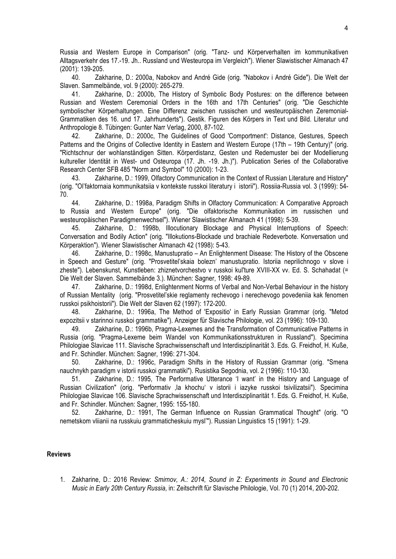Russia and Western Europe in Comparison" (orig. "Tanz- und Körperverhalten im kommunikativen Alltagsverkehr des 17.-19. Jh.. Russland und Westeuropa im Vergleich"). Wiener Slawistischer Almanach 47 (2001): 139-205.

40. Zakharine, D.: 2000a, Nabokov and André Gide (orig. "Nabokov i André Gide"). Die Welt der Slaven. Sammelbände, vol. 9 (2000): 265-279.

41. Zakharine, D.: 2000b, The History of Symbolic Body Postures: on the difference between Russian and Western Ceremonial Orders in the 16th and 17th Centuries" (orig. "Die Geschichte symbolischer Körperhaltungen. Eine Differenz zwischen russischen und westeuropäischen Zeremonial-Grammatiken des 16. und 17. Jahrhunderts"). Gestik. Figuren des Körpers in Text und Bild. Literatur und Anthropologie 8. Tübingen: Gunter Narr Verlag, 2000, 87-102.

42. Zakharine, D.: 2000c, The Guidelines of Good 'Comportment': Distance, Gestures, Speech Patterns and the Origins of Collective Identity in Eastern and Western Europe (17th – 19th Century)" (orig. "Richtschnur der wohlanständigen Sitten. Körperdistanz, Gesten und Redemuster bei der Modellierung kultureller Identität in West- und Osteuropa (17. Jh. -19. Jh.)"). Publication Series of the Collaborative Research Center SFB 485 "Norm and Symbol" 10 (2000): 1-23.

43. Zakharine, D.: 1999, Olfactory Communication in the Context of Russian Literature and History" (orig. "Ol'faktornaia kommunikatsiia v kontekste russkoi literatury i istorii"). Rossiia-Russia vol. 3 (1999): 54- 70.

44. Zakharine, D.: 1998a, Paradigm Shifts in Olfactory Communication: A Comparative Approach to Russia and Western Europe" (orig. "Die olfaktorische Kommunikation im russischen und westeuropäischen Paradigmenwechsel"). Wiener Slawistischer Almanach 41 (1998): 5-39.

45. Zakharine, D.: 1998b, Illocutionary Blockage and Physical Interruptions of Speech: Conversation and Bodily Action" (orig. "Illokutions-Blockade und brachiale Redeverbote. Konversation und Körperaktion"). Wiener Slawistischer Almanach 42 (1998): 5-43.

46. Zakharine, D.: 1998c, Manustupratio – An Enlightenment Disease: The History of the Obscene in Speech and Gesture" (orig. "Prosvetitel'skaia bolezn' manustupratio. Istoriia neprilichnogo v slove i zheste"). Lebenskunst, Kunstleben: zhiznetvorchestvo v russkoi kul'ture XVIII-XX vv. Ed. S. Schahadat (= Die Welt der Slaven. Sammelbände 3.). München: Sagner, 1998: 49-89.

47. Zakharine, D.: 1998d, Enlightenment Norms of Verbal and Non-Verbal Behaviour in the history of Russian Mentality (orig. "Prosvetitel'skie reglamenty rechevogo i nerechevogo povedeniia kak fenomen russkoi psikhoistorii"). Die Welt der Slaven 62 (1997): 172-200.

48. Zakharine, D.: 1996a, The Method of 'Expositio' in Early Russian Grammar (orig. "Metod expozitsii v starinnoi russkoi grammatike"). Anzeiger für Slavische Philologie, vol. 23 (1996): 109-130.

49. Zakharine, D.: 1996b, Pragma-Lexemes and the Transformation of Communicative Patterns in Russia (orig. "Pragma-Lexeme beim Wandel von Kommunikationsstrukturen in Russland"). Specimina Philologiae Slavicae 111. Slavische Sprachwissenschaft und Interdisziplinarität 3. Eds. G. Freidhof, H. Kuße, and Fr. Schindler. München: Sagner, 1996: 271-304.

50. Zakharine, D.: 1996c, Paradigm Shifts in the History of Russian Grammar (orig. "Smena nauchnykh paradigm v istorii russkoi grammatiki"). Rusistika Segodnia, vol. 2 (1996): 110-130.

51. Zakharine, D.: 1995, The Performative Utterance 'I want' in the History and Language of Russian Civilization" (orig. "Performativ ,la khochu' v istorii i iazyke russkoi tsivilizatsii"). Specimina Philologiae Slavicae 106. Slavische Sprachwissenschaft und Interdisziplinarität 1. Eds. G. Freidhof, H. Kuße, and Fr. Schindler. München: Sagner, 1995: 155-180.

52. Zakharine, D.: 1991, The German Influence on Russian Grammatical Thought" (orig. "O nemetskom vliianii na russkuiu grammaticheskuiu mysl'"). Russian Linguistics 15 (1991): 1-29.

# **Reviews**

1. Zakharine, D.: 2016 Review: *Smirnov, A.: 2014, Sound in Z: Experiments in Sound and Electronic Music in Early 20th Century Russia*, in: Zeitschrift für Slavische Philologie, Vol. 70 (1) 2014, 200-202.